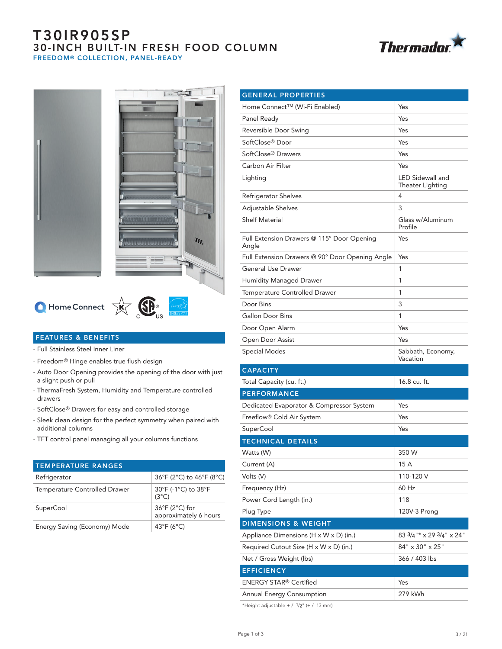## T30IR905SP 30-INCH BUILT-IN FRESH FOOD COLUMN FREEDOM® COLLECTION, PANEL-READY







 $T$   $T$ 

# $\bigcirc$  Home Connect  $\overrightarrow{X}$   $\overrightarrow{X}$   $\overrightarrow{S}$   $\overrightarrow{S}$   $\overrightarrow{S}$

## FEATURES & BENEFITS

- Full Stainless Steel Inner Liner
- Freedom® Hinge enables true flush design
- Auto Door Opening provides the opening of the door with just a slight push or pull
- ThermaFresh System, Humidity and Temperature controlled drawers
- SoftClose® Drawers for easy and controlled storage
- Sleek clean design for the perfect symmetry when paired with additional columns
- TFT control panel managing all your columns functions

| <b>TEMPERATURE RANGES</b>     |                                         |
|-------------------------------|-----------------------------------------|
| Refrigerator                  | 36°F (2°C) to 46°F (8°C)                |
| Temperature Controlled Drawer | 30°F (-1°C) to 38°F<br>$(3^{\circ}C)$   |
| <b>SuperCool</b>              | 36°F (2°C) for<br>approximately 6 hours |
| Energy Saving (Economy) Mode  | 43°F ( $6^{\circ}$ C)                   |

| <b>GENERAL PROPERTIES</b>                           |                                                |
|-----------------------------------------------------|------------------------------------------------|
| Home Connect™ (Wi-Fi Enabled)                       | Yes                                            |
| Panel Ready                                         | Yes                                            |
| Reversible Door Swing                               | Yes                                            |
| SoftClose® Door                                     | Yes                                            |
| SoftClose® Drawers                                  | Yes                                            |
| Carbon Air Filter                                   | Yes                                            |
| Lighting                                            | <b>LED Sidewall and</b><br>Theater Lighting    |
| Refrigerator Shelves                                | 4                                              |
| Adjustable Shelves                                  | 3                                              |
| <b>Shelf Material</b>                               | Glass w/Aluminum<br>Profile                    |
| Full Extension Drawers @ 115° Door Opening<br>Angle | Yes                                            |
| Full Extension Drawers @ 90° Door Opening Angle     | Yes                                            |
| <b>General Use Drawer</b>                           | 1                                              |
| <b>Humidity Managed Drawer</b>                      | 1                                              |
| Temperature Controlled Drawer                       | 1                                              |
| Door Bins                                           | 3                                              |
| <b>Gallon Door Bins</b>                             | 1                                              |
| Door Open Alarm                                     | Yes                                            |
| Open Door Assist                                    | Yes                                            |
| <b>Special Modes</b>                                | Sabbath, Economy,<br>Vacation                  |
| <b>CAPACITY</b>                                     |                                                |
| Total Capacity (cu. ft.)                            | 16.8 cu. ft.                                   |
| <b>PERFORMANCE</b>                                  |                                                |
| Dedicated Evaporator & Compressor System            | Yes                                            |
| Freeflow <sup>®</sup> Cold Air System               | Yes                                            |
| SuperCool                                           | Yes                                            |
| <b>TECHNICAL DETAILS</b>                            |                                                |
| Watts (W)                                           | 350 W                                          |
| Current (A)                                         | 15 A                                           |
| Volts (V)                                           | 110-120 V                                      |
| Frequency (Hz)                                      | 60 Hz                                          |
| Power Cord Length (in.)                             | 118                                            |
| Plug Type                                           | 120V-3 Prong                                   |
| <b>DIMENSIONS &amp; WEIGHT</b>                      |                                                |
| Appliance Dimensions (H x W x D) (in.)              | $83\frac{3}{4}$ " * x 29 $\frac{3}{4}$ " x 24" |
| Required Cutout Size (H x W x D) (in.)              | 84" x 30" x 25"                                |
| Net / Gross Weight (lbs)                            | 366 / 403 lbs                                  |
| <b>EFFICIENCY</b>                                   |                                                |
| <b>ENERGY STAR® Certified</b>                       | Yes                                            |
| Annual Energy Consumption                           | 279 kWh                                        |

\*Height adjustable +  $/$  -1/2" (+  $/$  -13 mm)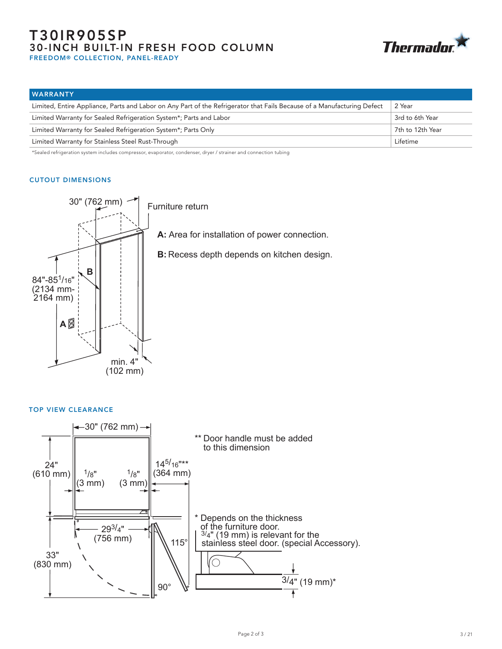## T30IR905SP 30-INCH BUILT-IN FRESH FOOD COLUMN

**Thermador** 

FREEDOM® COLLECTION, PANEL-READY

| <b>WARRANTY</b>                                                                                                         |                  |
|-------------------------------------------------------------------------------------------------------------------------|------------------|
| Limited, Entire Appliance, Parts and Labor on Any Part of the Refrigerator that Fails Because of a Manufacturing Defect | 2 Year           |
| Limited Warranty for Sealed Refrigeration System*; Parts and Labor                                                      | 3rd to 6th Year  |
| Limited Warranty for Sealed Refrigeration System*; Parts Only                                                           | 7th to 12th Year |
| Limited Warranty for Stainless Steel Rust-Through                                                                       | Lifetime         |

\*Sealed refrigeration system includes compressor, evaporator, condenser, dryer / strainer and connection tubing

## CUTOUT DIMENSIONS



## TOP VIEW CLEARANCE